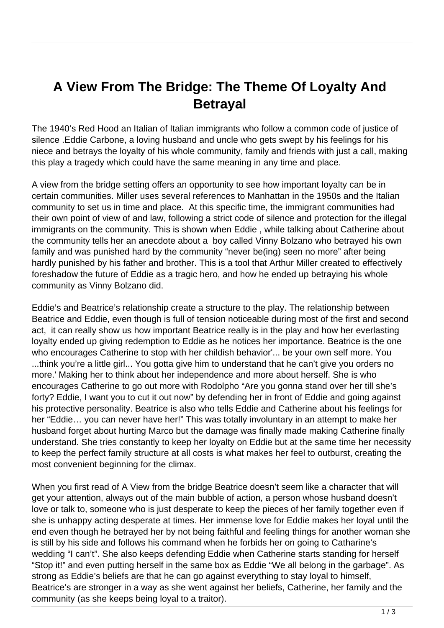## **A View From The Bridge: The Theme Of Loyalty And Betrayal**

The 1940's Red Hood an Italian of Italian immigrants who follow a common code of justice of silence .Eddie Carbone, a loving husband and uncle who gets swept by his feelings for his niece and betrays the loyalty of his whole community, family and friends with just a call, making this play a tragedy which could have the same meaning in any time and place.

A view from the bridge setting offers an opportunity to see how important loyalty can be in certain communities. Miller uses several references to Manhattan in the 1950s and the Italian community to set us in time and place. At this specific time, the immigrant communities had their own point of view of and law, following a strict code of silence and protection for the illegal immigrants on the community. This is shown when Eddie , while talking about Catherine about the community tells her an anecdote about a boy called Vinny Bolzano who betrayed his own family and was punished hard by the community "never be(ing) seen no more" after being hardly punished by his father and brother. This is a tool that Arthur Miller created to effectively foreshadow the future of Eddie as a tragic hero, and how he ended up betraying his whole community as Vinny Bolzano did.

Eddie's and Beatrice's relationship create a structure to the play. The relationship between Beatrice and Eddie, even though is full of tension noticeable during most of the first and second act, it can really show us how important Beatrice really is in the play and how her everlasting loyalty ended up giving redemption to Eddie as he notices her importance. Beatrice is the one who encourages Catherine to stop with her childish behavior'... be your own self more. You ...think you're a little girl... You gotta give him to understand that he can't give you orders no more.' Making her to think about her independence and more about herself. She is who encourages Catherine to go out more with Rodolpho "Are you gonna stand over her till she's forty? Eddie, I want you to cut it out now" by defending her in front of Eddie and going against his protective personality. Beatrice is also who tells Eddie and Catherine about his feelings for her "Eddie... you can never have her!" This was totally involuntary in an attempt to make her husband forget about hurting Marco but the damage was finally made making Catherine finally understand. She tries constantly to keep her loyalty on Eddie but at the same time her necessity to keep the perfect family structure at all costs is what makes her feel to outburst, creating the most convenient beginning for the climax.

When you first read of A View from the bridge Beatrice doesn't seem like a character that will get your attention, always out of the main bubble of action, a person whose husband doesn't love or talk to, someone who is just desperate to keep the pieces of her family together even if she is unhappy acting desperate at times. Her immense love for Eddie makes her loyal until the end even though he betrayed her by not being faithful and feeling things for another woman she is still by his side and follows his command when he forbids her on going to Catharine's wedding "I can't". She also keeps defending Eddie when Catherine starts standing for herself "Stop it!" and even putting herself in the same box as Eddie "We all belong in the garbage". As strong as Eddie's beliefs are that he can go against everything to stay loyal to himself, Beatrice's are stronger in a way as she went against her beliefs, Catherine, her family and the community (as she keeps being loyal to a traitor).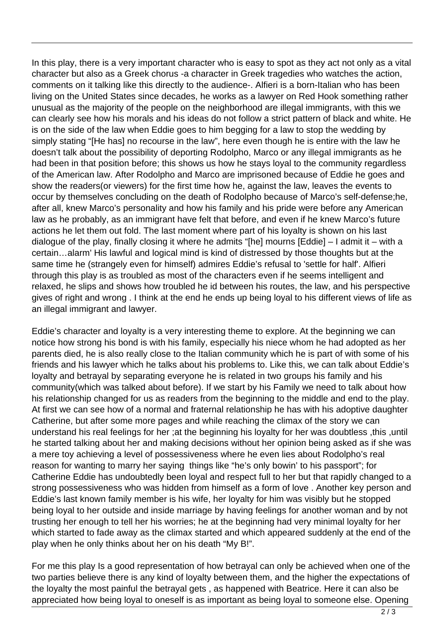In this play, there is a very important character who is easy to spot as they act not only as a vital character but also as a Greek chorus -a character in Greek tragedies who watches the action, comments on it talking like this directly to the audience-. Alfieri is a born-Italian who has been living on the United States since decades, he works as a lawyer on Red Hook something rather unusual as the majority of the people on the neighborhood are illegal immigrants, with this we can clearly see how his morals and his ideas do not follow a strict pattern of black and white. He is on the side of the law when Eddie goes to him begging for a law to stop the wedding by simply stating "[He has] no recourse in the law", here even though he is entire with the law he doesn't talk about the possibility of deporting Rodolpho, Marco or any illegal immigrants as he had been in that position before; this shows us how he stays loyal to the community regardless of the American law. After Rodolpho and Marco are imprisoned because of Eddie he goes and show the readers(or viewers) for the first time how he, against the law, leaves the events to occur by themselves concluding on the death of Rodolpho because of Marco's self-defense;he, after all, knew Marco's personality and how his family and his pride were before any American law as he probably, as an immigrant have felt that before, and even if he knew Marco's future actions he let them out fold. The last moment where part of his loyalty is shown on his last dialogue of the play, finally closing it where he admits "[he] mourns [Eddie] – I admit it – with a certain…alarm' His lawful and logical mind is kind of distressed by those thoughts but at the same time he (strangely even for himself) admires Eddie's refusal to 'settle for half'. Alfieri through this play is as troubled as most of the characters even if he seems intelligent and relaxed, he slips and shows how troubled he id between his routes, the law, and his perspective gives of right and wrong . I think at the end he ends up being loyal to his different views of life as an illegal immigrant and lawyer.

Eddie's character and loyalty is a very interesting theme to explore. At the beginning we can notice how strong his bond is with his family, especially his niece whom he had adopted as her parents died, he is also really close to the Italian community which he is part of with some of his friends and his lawyer which he talks about his problems to. Like this, we can talk about Eddie's loyalty and betrayal by separating everyone he is related in two groups his family and his community(which was talked about before). If we start by his Family we need to talk about how his relationship changed for us as readers from the beginning to the middle and end to the play. At first we can see how of a normal and fraternal relationship he has with his adoptive daughter Catherine, but after some more pages and while reaching the climax of the story we can understand his real feelings for her ;at the beginning his loyalty for her was doubtless ,this ,until he started talking about her and making decisions without her opinion being asked as if she was a mere toy achieving a level of possessiveness where he even lies about Rodolpho's real reason for wanting to marry her saying things like "he's only bowin' to his passport"; for Catherine Eddie has undoubtedly been loyal and respect full to her but that rapidly changed to a strong possessiveness who was hidden from himself as a form of love . Another key person and Eddie's last known family member is his wife, her loyalty for him was visibly but he stopped being loyal to her outside and inside marriage by having feelings for another woman and by not trusting her enough to tell her his worries; he at the beginning had very minimal loyalty for her which started to fade away as the climax started and which appeared suddenly at the end of the play when he only thinks about her on his death "My B!".

For me this play Is a good representation of how betrayal can only be achieved when one of the two parties believe there is any kind of loyalty between them, and the higher the expectations of the loyalty the most painful the betrayal gets , as happened with Beatrice. Here it can also be appreciated how being loyal to oneself is as important as being loyal to someone else. Opening